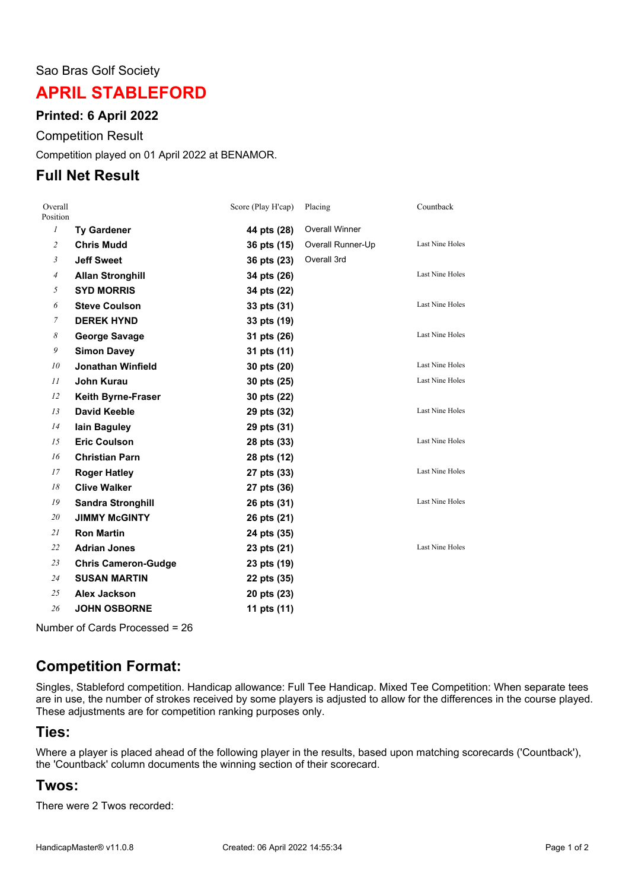#### Sao Bras Golf Society

# **APRIL STABLEFORD**

### **Printed: 6 April 2022**

Competition Result

Competition played on 01 April 2022 at BENAMOR.

### **Full Net Result**

| Overall<br>Position |                            | Score (Play H'cap) | Placing               | Countback              |
|---------------------|----------------------------|--------------------|-----------------------|------------------------|
| $\boldsymbol{l}$    | <b>Ty Gardener</b>         | 44 pts (28)        | <b>Overall Winner</b> |                        |
| $\overline{c}$      | <b>Chris Mudd</b>          | 36 pts (15)        | Overall Runner-Up     | Last Nine Holes        |
| $\mathfrak{Z}$      | <b>Jeff Sweet</b>          | 36 pts (23)        | Overall 3rd           |                        |
| $\overline{4}$      | <b>Allan Stronghill</b>    | 34 pts (26)        |                       | Last Nine Holes        |
| 5                   | <b>SYD MORRIS</b>          | 34 pts (22)        |                       |                        |
| 6                   | <b>Steve Coulson</b>       | 33 pts (31)        |                       | <b>Last Nine Holes</b> |
| $\overline{7}$      | <b>DEREK HYND</b>          | 33 pts (19)        |                       |                        |
| 8                   | <b>George Savage</b>       | 31 pts (26)        |                       | <b>Last Nine Holes</b> |
| 9                   | <b>Simon Davey</b>         | 31 pts (11)        |                       |                        |
| 10                  | <b>Jonathan Winfield</b>   | 30 pts (20)        |                       | Last Nine Holes        |
| 11                  | <b>John Kurau</b>          | 30 pts (25)        |                       | <b>Last Nine Holes</b> |
| 12                  | <b>Keith Byrne-Fraser</b>  | 30 pts (22)        |                       |                        |
| 13                  | <b>David Keeble</b>        | 29 pts (32)        |                       | <b>Last Nine Holes</b> |
| 14                  | lain Baguley               | 29 pts (31)        |                       |                        |
| 15                  | <b>Eric Coulson</b>        | 28 pts (33)        |                       | Last Nine Holes        |
| 16                  | <b>Christian Parn</b>      | 28 pts (12)        |                       |                        |
| 17                  | <b>Roger Hatley</b>        | 27 pts (33)        |                       | <b>Last Nine Holes</b> |
| 18                  | <b>Clive Walker</b>        | 27 pts (36)        |                       |                        |
| 19                  | <b>Sandra Stronghill</b>   | 26 pts (31)        |                       | <b>Last Nine Holes</b> |
| 20                  | <b>JIMMY McGINTY</b>       | 26 pts (21)        |                       |                        |
| 21                  | <b>Ron Martin</b>          | 24 pts (35)        |                       |                        |
| 22                  | <b>Adrian Jones</b>        | 23 pts (21)        |                       | <b>Last Nine Holes</b> |
| 23                  | <b>Chris Cameron-Gudge</b> | 23 pts (19)        |                       |                        |
| 24                  | <b>SUSAN MARTIN</b>        | 22 pts (35)        |                       |                        |
| 25                  | Alex Jackson               | 20 pts (23)        |                       |                        |
| 26                  | <b>JOHN OSBORNE</b>        | 11 pts (11)        |                       |                        |

Number of Cards Processed = 26

## **Competition Format:**

Singles, Stableford competition. Handicap allowance: Full Tee Handicap. Mixed Tee Competition: When separate tees are in use, the number of strokes received by some players is adjusted to allow for the differences in the course played. These adjustments are for competition ranking purposes only.

### **Ties:**

Where a player is placed ahead of the following player in the results, based upon matching scorecards ('Countback'), the 'Countback' column documents the winning section of their scorecard.

### **Twos:**

There were 2 Twos recorded: